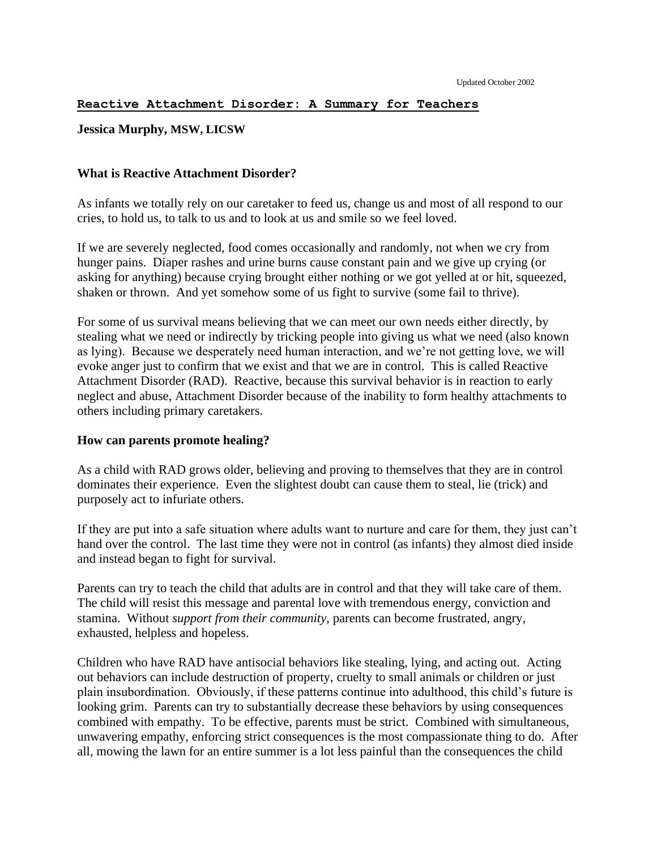### **Reactive Attachment Disorder: A Summary for Teachers**

# **Jessica Murphy, MSW, LICSW**

# **What is Reactive Attachment Disorder?**

As infants we totally rely on our caretaker to feed us, change us and most of all respond to our cries, to hold us, to talk to us and to look at us and smile so we feel loved.

If we are severely neglected, food comes occasionally and randomly, not when we cry from hunger pains. Diaper rashes and urine burns cause constant pain and we give up crying (or asking for anything) because crying brought either nothing or we got yelled at or hit, squeezed, shaken or thrown. And yet somehow some of us fight to survive (some fail to thrive).

For some of us survival means believing that we can meet our own needs either directly, by stealing what we need or indirectly by tricking people into giving us what we need (also known as lying). Because we desperately need human interaction, and we're not getting love, we will evoke anger just to confirm that we exist and that we are in control. This is called Reactive Attachment Disorder (RAD). Reactive, because this survival behavior is in reaction to early neglect and abuse, Attachment Disorder because of the inability to form healthy attachments to others including primary caretakers.

#### **How can parents promote healing?**

As a child with RAD grows older, believing and proving to themselves that they are in control dominates their experience. Even the slightest doubt can cause them to steal, lie (trick) and purposely act to infuriate others.

If they are put into a safe situation where adults want to nurture and care for them, they just can't hand over the control. The last time they were not in control (as infants) they almost died inside and instead began to fight for survival.

Parents can try to teach the child that adults are in control and that they will take care of them. The child will resist this message and parental love with tremendous energy, conviction and stamina. Without *support from their community*, parents can become frustrated, angry, exhausted, helpless and hopeless.

Children who have RAD have antisocial behaviors like stealing, lying, and acting out. Acting out behaviors can include destruction of property, cruelty to small animals or children or just plain insubordination. Obviously, if these patterns continue into adulthood, this child's future is looking grim. Parents can try to substantially decrease these behaviors by using consequences combined with empathy. To be effective, parents must be strict. Combined with simultaneous, unwavering empathy, enforcing strict consequences is the most compassionate thing to do. After all, mowing the lawn for an entire summer is a lot less painful than the consequences the child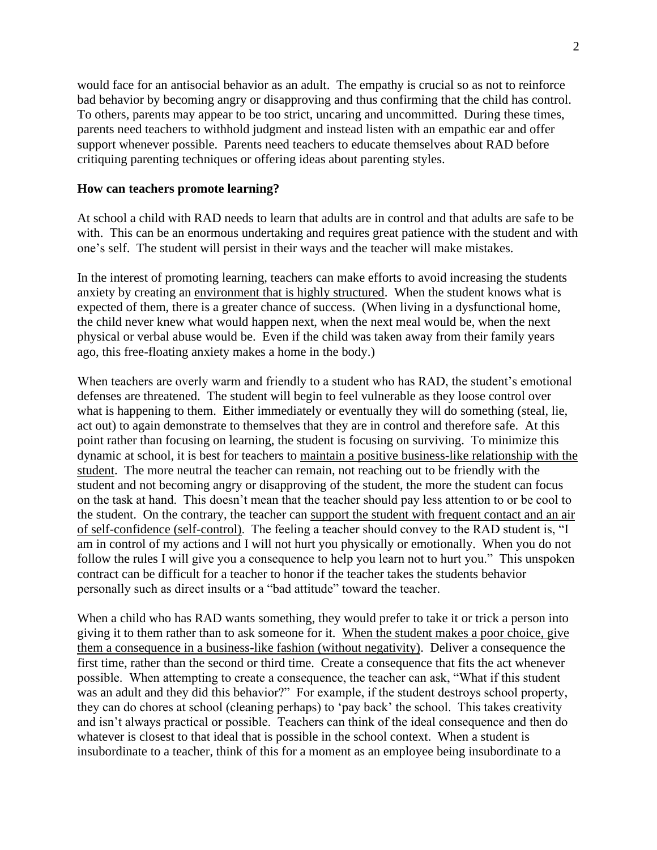would face for an antisocial behavior as an adult. The empathy is crucial so as not to reinforce bad behavior by becoming angry or disapproving and thus confirming that the child has control. To others, parents may appear to be too strict, uncaring and uncommitted. During these times, parents need teachers to withhold judgment and instead listen with an empathic ear and offer support whenever possible. Parents need teachers to educate themselves about RAD before critiquing parenting techniques or offering ideas about parenting styles.

# **How can teachers promote learning?**

At school a child with RAD needs to learn that adults are in control and that adults are safe to be with. This can be an enormous undertaking and requires great patience with the student and with one's self. The student will persist in their ways and the teacher will make mistakes.

In the interest of promoting learning, teachers can make efforts to avoid increasing the students anxiety by creating an environment that is highly structured. When the student knows what is expected of them, there is a greater chance of success. (When living in a dysfunctional home, the child never knew what would happen next, when the next meal would be, when the next physical or verbal abuse would be. Even if the child was taken away from their family years ago, this free-floating anxiety makes a home in the body.)

When teachers are overly warm and friendly to a student who has RAD, the student's emotional defenses are threatened. The student will begin to feel vulnerable as they loose control over what is happening to them. Either immediately or eventually they will do something (steal, lie, act out) to again demonstrate to themselves that they are in control and therefore safe. At this point rather than focusing on learning, the student is focusing on surviving. To minimize this dynamic at school, it is best for teachers to maintain a positive business-like relationship with the student. The more neutral the teacher can remain, not reaching out to be friendly with the student and not becoming angry or disapproving of the student, the more the student can focus on the task at hand. This doesn't mean that the teacher should pay less attention to or be cool to the student. On the contrary, the teacher can support the student with frequent contact and an air of self-confidence (self-control). The feeling a teacher should convey to the RAD student is, "I am in control of my actions and I will not hurt you physically or emotionally. When you do not follow the rules I will give you a consequence to help you learn not to hurt you." This unspoken contract can be difficult for a teacher to honor if the teacher takes the students behavior personally such as direct insults or a "bad attitude" toward the teacher.

When a child who has RAD wants something, they would prefer to take it or trick a person into giving it to them rather than to ask someone for it. When the student makes a poor choice, give them a consequence in a business-like fashion (without negativity). Deliver a consequence the first time, rather than the second or third time. Create a consequence that fits the act whenever possible. When attempting to create a consequence, the teacher can ask, "What if this student was an adult and they did this behavior?" For example, if the student destroys school property, they can do chores at school (cleaning perhaps) to 'pay back' the school. This takes creativity and isn't always practical or possible. Teachers can think of the ideal consequence and then do whatever is closest to that ideal that is possible in the school context. When a student is insubordinate to a teacher, think of this for a moment as an employee being insubordinate to a